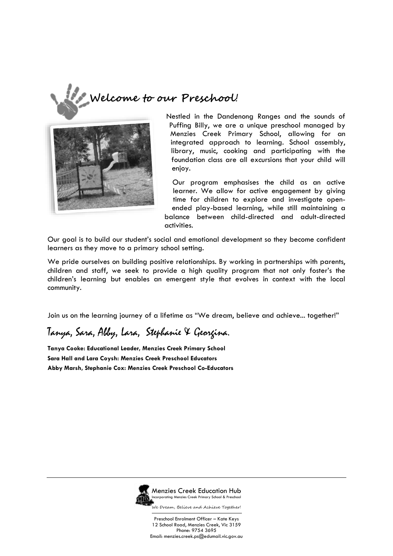



Nestled in the Dandenong Ranges and the sounds of Puffing Billy, we are a unique preschool managed by Menzies Creek Primary School, allowing for an integrated approach to learning. School assembly, library, music, cooking and participating with the foundation class are all excursions that your child will enjoy.

Our program emphasises the child as an active learner. We allow for active engagement by giving time for children to explore and investigate openended play-based learning, while still maintaining a balance between child-directed and adult-directed activities.

Our goal is to build our student's social and emotional development so they become confident learners as they move to a primary school setting.

We pride ourselves on building positive relationships. By working in partnerships with parents, children and staff, we seek to provide a high quality program that not only foster's the children's learning but enables an emergent style that evolves in context with the local community.

Join us on the learning journey of a lifetime as "We dream, believe and achieve... together!"

# Tanya, Sara, Abby, Lara, Stephanie & Georgina.

**Tanya Cooke: Educational Leader, Menzies Creek Primary School Sara Hall and Lara Coysh: Menzies Creek Preschool Educators Abby Marsh, Stephanie Cox: Menzies Creek Preschool Co-Educators**



Menzies Creek Education Hub Incorporating Menzies Creek Primary School & Preschool

We Dream, Believe and Achieve Together!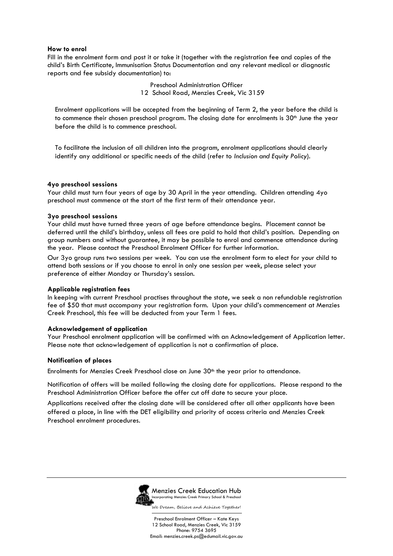#### **How to enrol**

Fill in the enrolment form and post it or take it (together with the registration fee and copies of the child's Birth Certificate, Immunisation Status Documentation and any relevant medical or diagnostic reports and fee subsidy documentation) to:

> Preschool Administration Officer 12 School Road, Menzies Creek, Vic 3159

Enrolment applications will be accepted from the beginning of Term 2, the year before the child is to commence their chosen preschool program. The closing date for enrolments is 30<sup>th</sup> June the year before the child is to commence preschool.

To facilitate the inclusion of all children into the program, enrolment applications should clearly identify any additional or specific needs of the child (refer to *Inclusion and Equity Policy*).

#### **4yo preschool sessions**

Your child must turn four years of age by 30 April in the year attending. Children attending 4yo preschool must commence at the start of the first term of their attendance year.

#### **3yo preschool sessions**

Your child must have turned three years of age before attendance begins. Placement cannot be deferred until the child's birthday, unless all fees are paid to hold that child's position. Depending on group numbers and without guarantee, it may be possible to enrol and commence attendance during the year. Please contact the Preschool Enrolment Officer for further information.

Our 3yo group runs two sessions per week. You can use the enrolment form to elect for your child to attend both sessions or if you choose to enrol in only one session per week, please select your preference of either Monday or Thursday's session.

#### **Applicable registration fees**

In keeping with current Preschool practises throughout the state, we seek a non refundable registration fee of \$50 that must accompany your registration form. Upon your child's commencement at Menzies Creek Preschool, this fee will be deducted from your Term 1 fees.

#### **Acknowledgement of application**

Your Preschool enrolment application will be confirmed with an Acknowledgement of Application letter. Please note that acknowledgement of application is not a confirmation of place.

#### **Notification of places**

Enrolments for Menzies Creek Preschool close on June 30<sup>th</sup> the year prior to attendance.

Notification of offers will be mailed following the closing date for applications. Please respond to the Preschool Administration Officer before the offer cut off date to secure your place.

Applications received after the closing date will be considered after all other applicants have been offered a place, in line with the DET eligibility and priority of access criteria and Menzies Creek Preschool enrolment procedures.



Menzies Creek Education Hub Incorporating Menzies Creek Primary School & Preschool

We Dream, Believe and Achieve Together!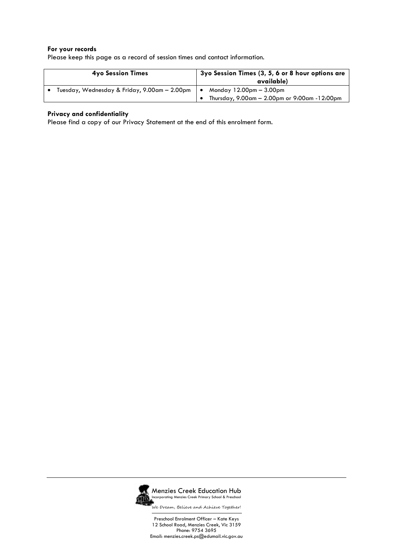#### **For your records**

| Please keep this page as a record of session times and contact information. |  |
|-----------------------------------------------------------------------------|--|
|                                                                             |  |

| <b>4yo Session Times</b>                     | 3yo Session Times (3, 5, 6 or 8 hour options are<br>available)            |  |  |
|----------------------------------------------|---------------------------------------------------------------------------|--|--|
| Tuesday, Wednesday & Friday, 9.00am - 2.00pm | Monday $12.00pm - 3.00pm$<br>Thursday, 9.00am - 2.00pm or 9:00am -12:00pm |  |  |

### **Privacy and confidentiality**

Please find a copy of our Privacy Statement at the end of this enrolment form.



Menzies Creek Education Hub Incorporating Menzies Creek Primary School & Preschool

We Dream, Believe and Achieve Together!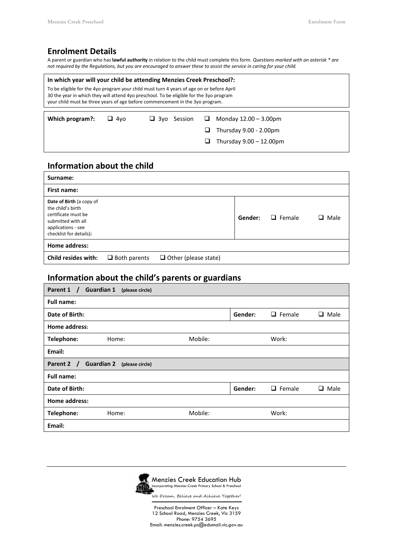# **Enrolment Details**

A parent or guardian who has **lawful authority** in relation to the child must complete this form. *Questions marked with an asterisk \* are not required by the Regulations, but you are encouraged to answer these to assist the service in caring for your child.*

### **In which year will your child be attending Menzies Creek Preschool?:**

To be eligible for the 4yo program your child must turn 4 years of age on or before April 30 the year in which they will attend 4yo preschool. To be eligible for the 3yo program your child must be three years of age before commencement in the 3yo program.

| Which program?: | $\Box$ 4 $\vee$ | $\Box$ 3yo Session $\Box$ Monday 12.00 – 3.00pm |
|-----------------|-----------------|-------------------------------------------------|
|                 |                 | $\Box$ Thursday 9.00 - 2.00pm                   |
|                 |                 | $\Box$ Thursday 9.00 - 12.00pm                  |

# **Information about the child**

| Surname:                                                                                                                                    |                     |                             |         |               |      |
|---------------------------------------------------------------------------------------------------------------------------------------------|---------------------|-----------------------------|---------|---------------|------|
| First name:                                                                                                                                 |                     |                             |         |               |      |
| Date of Birth (a copy of<br>the child's birth<br>certificate must be<br>submitted with all<br>applications - see<br>checklist for details): |                     |                             | Gender: | $\Box$ Female | Male |
| Home address:                                                                                                                               |                     |                             |         |               |      |
| Child resides with:                                                                                                                         | $\Box$ Both parents | $\Box$ Other (please state) |         |               |      |

### **Information about the child's parents or guardians**

| Parent 1 /<br><b>Guardian 1</b><br>(please circle)                |         |               |           |  |  |
|-------------------------------------------------------------------|---------|---------------|-----------|--|--|
| <b>Full name:</b>                                                 |         |               |           |  |  |
| Gender:<br>Date of Birth:<br>$\Box$ Female<br>Male<br>⊔           |         |               |           |  |  |
| Home address:                                                     |         |               |           |  |  |
| Mobile:<br>Telephone:<br>Home:                                    |         | Work:         |           |  |  |
| Email:                                                            |         |               |           |  |  |
| Parent 2<br><b>Guardian 2</b><br>(please circle)<br>$\mathcal{T}$ |         |               |           |  |  |
| <b>Full name:</b>                                                 |         |               |           |  |  |
|                                                                   |         |               |           |  |  |
| Date of Birth:                                                    | Gender: | $\Box$ Female | Male<br>ப |  |  |
| Home address:                                                     |         |               |           |  |  |
| Mobile:<br>Telephone:<br>Home:                                    |         | Work:         |           |  |  |

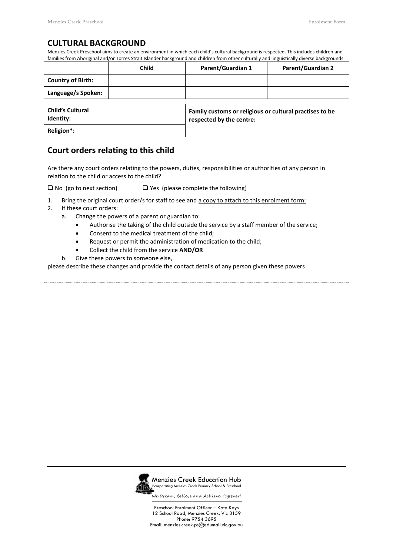### **CULTURAL BACKGROUND**

Menzies Creek Preschool aims to create an environment in which each child's cultural background is respected. This includes children and families from Aboriginal and/or Torres Strait Islander background and children from other culturally and linguistically diverse backgrounds.

|                                      | <b>Child</b> | <b>Parent/Guardian 1</b>                                                            | <b>Parent/Guardian 2</b> |
|--------------------------------------|--------------|-------------------------------------------------------------------------------------|--------------------------|
| <b>Country of Birth:</b>             |              |                                                                                     |                          |
| Language/s Spoken:                   |              |                                                                                     |                          |
| <b>Child's Cultural</b><br>Identity: |              | Family customs or religious or cultural practises to be<br>respected by the centre: |                          |
| Religion*:                           |              |                                                                                     |                          |

# **Court orders relating to this child**

Are there any court orders relating to the powers, duties, responsibilities or authorities of any person in relation to the child or access to the child?

 $\Box$  No (go to next section)  $\Box$  Yes (please complete the following)

- 1. Bring the original court order/s for staff to see and a copy to attach to this enrolment form:
- 2. If these court orders:
	- a. Change the powers of a parent or guardian to:
		- Authorise the taking of the child outside the service by a staff member of the service;
		- Consent to the medical treatment of the child;
		- Request or permit the administration of medication to the child;
		- Collect the child from the service **AND/OR**
	- b. Give these powers to someone else,

please describe these changes and provide the contact details of any person given these powers



Menzies Creek Education Hub Incorporating Menzies Creek Primary School & Preschool

We Dream, Believe and Achieve Together!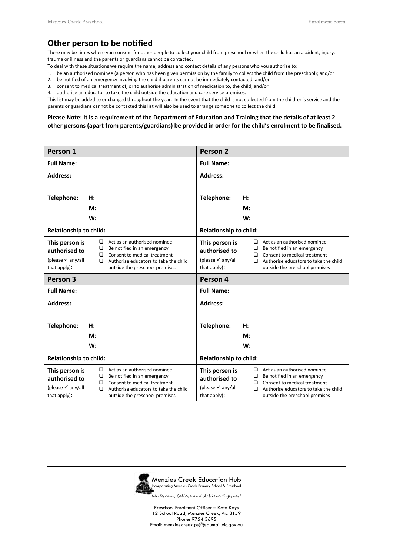# **Other person to be notified**

There may be times where you consent for other people to collect your child from preschool or when the child has an accident, injury, trauma or illness and the parents or guardians cannot be contacted.

- To deal with these situations we require the name, address and contact details of any persons who you authorise to:
- 1. be an authorised nominee (a person who has been given permission by the family to collect the child from the preschool); and/or
- 2. be notified of an emergency involving the child if parents cannot be immediately contacted; and/or
- 3. consent to medical treatment of, or to authorise administration of medication to, the child; and/or

4. authorise an educator to take the child outside the education and care service premises.

This list may be added to or changed throughout the year. In the event that the child is not collected from the children's service and the parents or guardians cannot be contacted this list will also be used to arrange someone to collect the child.

#### **Please Note: It is a requirement of the Department of Education and Training that the details of at least 2 other persons (apart from parents/guardians) be provided in order for the child's enrolment to be finalised.**

| Person 1                                                                        |             |                                                                                                                                                                        | Person <sub>2</sub>                                                             |    |             |                                                                                                                                                                               |
|---------------------------------------------------------------------------------|-------------|------------------------------------------------------------------------------------------------------------------------------------------------------------------------|---------------------------------------------------------------------------------|----|-------------|-------------------------------------------------------------------------------------------------------------------------------------------------------------------------------|
| <b>Full Name:</b>                                                               |             |                                                                                                                                                                        | <b>Full Name:</b>                                                               |    |             |                                                                                                                                                                               |
| <b>Address:</b>                                                                 |             |                                                                                                                                                                        | <b>Address:</b>                                                                 |    |             |                                                                                                                                                                               |
|                                                                                 |             |                                                                                                                                                                        |                                                                                 |    |             |                                                                                                                                                                               |
| Telephone:                                                                      | H:          |                                                                                                                                                                        | Telephone:                                                                      | H: |             |                                                                                                                                                                               |
|                                                                                 | M:          |                                                                                                                                                                        |                                                                                 | M: |             |                                                                                                                                                                               |
|                                                                                 | W:          |                                                                                                                                                                        |                                                                                 | W: |             |                                                                                                                                                                               |
| <b>Relationship to child:</b>                                                   |             |                                                                                                                                                                        | <b>Relationship to child:</b>                                                   |    |             |                                                                                                                                                                               |
| This person is<br>authorised to<br>(please $\checkmark$ any/all<br>that apply): | ❏<br>◻<br>◻ | Act as an authorised nominee<br>Be notified in an emergency<br>Consent to medical treatment<br>Authorise educators to take the child<br>outside the preschool premises | This person is<br>authorised to<br>(please $\checkmark$ any/all<br>that apply): |    | ❏<br>◻<br>◻ | $\Box$ Act as an authorised nominee<br>Be notified in an emergency<br>Consent to medical treatment<br>Authorise educators to take the child<br>outside the preschool premises |
| Person 3                                                                        |             |                                                                                                                                                                        | Person 4                                                                        |    |             |                                                                                                                                                                               |
| <b>Full Name:</b>                                                               |             |                                                                                                                                                                        | <b>Full Name:</b>                                                               |    |             |                                                                                                                                                                               |
| <b>Address:</b>                                                                 |             |                                                                                                                                                                        | <b>Address:</b>                                                                 |    |             |                                                                                                                                                                               |
| Telephone:                                                                      | H:          |                                                                                                                                                                        | Telephone:                                                                      | H: |             |                                                                                                                                                                               |
|                                                                                 | M:          |                                                                                                                                                                        |                                                                                 | M: |             |                                                                                                                                                                               |
|                                                                                 | W:          |                                                                                                                                                                        |                                                                                 | W: |             |                                                                                                                                                                               |
| <b>Relationship to child:</b>                                                   |             |                                                                                                                                                                        |                                                                                 |    |             |                                                                                                                                                                               |
|                                                                                 |             |                                                                                                                                                                        | <b>Relationship to child:</b>                                                   |    |             |                                                                                                                                                                               |

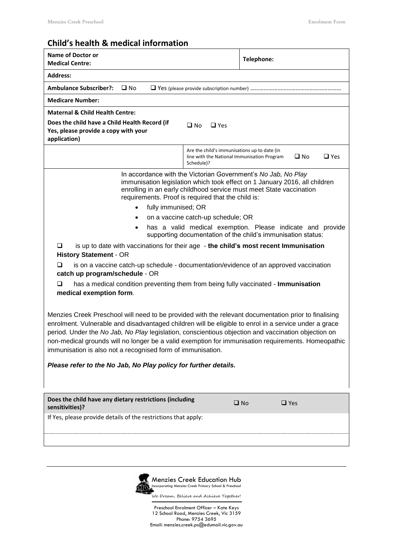# **Child's health & medical information**

| <b>Name of Doctor or</b><br><b>Medical Centre:</b>                                                                                                                                                                                                                                                                                                                                                                                                                                        |                                                                                                                            | Telephone:                 |                            |  |
|-------------------------------------------------------------------------------------------------------------------------------------------------------------------------------------------------------------------------------------------------------------------------------------------------------------------------------------------------------------------------------------------------------------------------------------------------------------------------------------------|----------------------------------------------------------------------------------------------------------------------------|----------------------------|----------------------------|--|
| <b>Address:</b>                                                                                                                                                                                                                                                                                                                                                                                                                                                                           |                                                                                                                            |                            |                            |  |
| <b>Ambulance Subscriber?:</b><br>$\square$ No                                                                                                                                                                                                                                                                                                                                                                                                                                             |                                                                                                                            |                            |                            |  |
| <b>Medicare Number:</b>                                                                                                                                                                                                                                                                                                                                                                                                                                                                   |                                                                                                                            |                            |                            |  |
| <b>Maternal &amp; Child Health Centre:</b>                                                                                                                                                                                                                                                                                                                                                                                                                                                |                                                                                                                            |                            |                            |  |
| Does the child have a Child Health Record (if<br>Yes, please provide a copy with your<br>application)                                                                                                                                                                                                                                                                                                                                                                                     | $\square$ No<br>$\Box$ Yes                                                                                                 |                            |                            |  |
|                                                                                                                                                                                                                                                                                                                                                                                                                                                                                           | Are the child's immunisations up to date (in<br>line with the National Immunisation Program<br>Schedule)?                  |                            | $\Box$ Yes<br>$\square$ No |  |
| In accordance with the Victorian Government's No Jab, No Play<br>immunisation legislation which took effect on 1 January 2016, all children<br>enrolling in an early childhood service must meet State vaccination<br>requirements. Proof is required that the child is:                                                                                                                                                                                                                  |                                                                                                                            |                            |                            |  |
| fully immunised; OR<br>$\bullet$                                                                                                                                                                                                                                                                                                                                                                                                                                                          |                                                                                                                            |                            |                            |  |
|                                                                                                                                                                                                                                                                                                                                                                                                                                                                                           | on a vaccine catch-up schedule; OR                                                                                         |                            |                            |  |
| $\bullet$                                                                                                                                                                                                                                                                                                                                                                                                                                                                                 | has a valid medical exemption. Please indicate and provide<br>supporting documentation of the child's immunisation status: |                            |                            |  |
| is up to date with vaccinations for their age - the child's most recent Immunisation<br>$\Box$<br><b>History Statement - OR</b>                                                                                                                                                                                                                                                                                                                                                           |                                                                                                                            |                            |                            |  |
| is on a vaccine catch-up schedule - documentation/evidence of an approved vaccination<br>ப<br>catch up program/schedule - OR                                                                                                                                                                                                                                                                                                                                                              |                                                                                                                            |                            |                            |  |
| has a medical condition preventing them from being fully vaccinated - Immunisation<br>◻<br>medical exemption form.                                                                                                                                                                                                                                                                                                                                                                        |                                                                                                                            |                            |                            |  |
| Menzies Creek Preschool will need to be provided with the relevant documentation prior to finalising<br>enrolment. Vulnerable and disadvantaged children will be eligible to enrol in a service under a grace<br>period. Under the No Jab, No Play legislation, conscientious objection and vaccination objection on<br>non-medical grounds will no longer be a valid exemption for immunisation requirements. Homeopathic<br>immunisation is also not a recognised form of immunisation. |                                                                                                                            |                            |                            |  |
| Please refer to the No Jab, No Play policy for further details.                                                                                                                                                                                                                                                                                                                                                                                                                           |                                                                                                                            |                            |                            |  |
| Does the child have any dietary restrictions (including<br>sensitivities)?                                                                                                                                                                                                                                                                                                                                                                                                                |                                                                                                                            | $\square$ No<br>$\Box$ Yes |                            |  |
| If Yes, please provide details of the restrictions that apply:                                                                                                                                                                                                                                                                                                                                                                                                                            |                                                                                                                            |                            |                            |  |
|                                                                                                                                                                                                                                                                                                                                                                                                                                                                                           |                                                                                                                            |                            |                            |  |

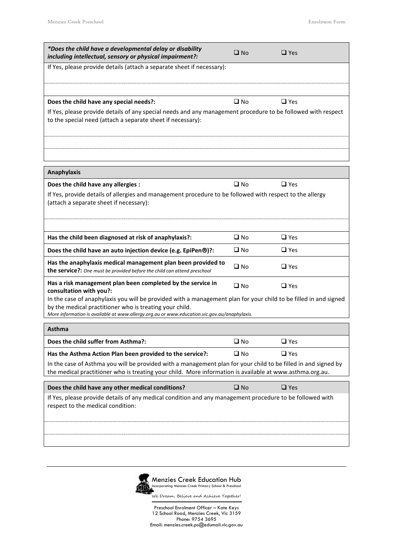| *Does the child have a developmental delay or disability<br>including intellectual, sensory or physical impairment?:                                                                                                                                                        | $\square$ No | $\square$ Yes |
|-----------------------------------------------------------------------------------------------------------------------------------------------------------------------------------------------------------------------------------------------------------------------------|--------------|---------------|
| If Yes, please provide details (attach a separate sheet if necessary):                                                                                                                                                                                                      |              |               |
|                                                                                                                                                                                                                                                                             |              |               |
| Does the child have any special needs?:                                                                                                                                                                                                                                     | $\square$ No | $\Box$ Yes    |
| If Yes, please provide details of any special needs and any management procedure to be followed with respect<br>to the special need (attach a separate sheet if necessary):                                                                                                 |              |               |
|                                                                                                                                                                                                                                                                             |              |               |
|                                                                                                                                                                                                                                                                             |              |               |
| <b>Anaphylaxis</b>                                                                                                                                                                                                                                                          |              |               |
| Does the child have any allergies :                                                                                                                                                                                                                                         | $\Box$ No    | $\Box$ Yes    |
| If Yes, provide details of allergies and management procedure to be followed with respect to the allergy<br>(attach a separate sheet if necessary):                                                                                                                         |              |               |
|                                                                                                                                                                                                                                                                             |              |               |
| Has the child been diagnosed at risk of anaphylaxis?:                                                                                                                                                                                                                       | $\square$ No | $\Box$ Yes    |
| Does the child have an auto injection device (e.g. EpiPen®)?:                                                                                                                                                                                                               | $\square$ No | $\Box$ Yes    |
| Has the anaphylaxis medical management plan been provided to<br>the service?: One must be provided before the child can attend preschool                                                                                                                                    | $\square$ No | $\square$ Yes |
| Has a risk management plan been completed by the service in<br>consultation with you?:                                                                                                                                                                                      | $\square$ No | $\Box$ Yes    |
| In the case of anaphylaxis you will be provided with a management plan for your child to be filled in and signed<br>by the medical practitioner who is treating your child.<br>More information is available at www.allergy.org.au or www.education.vic.gov.au/anaphylaxis. |              |               |
| Asthma                                                                                                                                                                                                                                                                      |              |               |
| Does the child suffer from Asthma?:                                                                                                                                                                                                                                         | $\square$ No | $\Box$ Yes    |
| Has the Asthma Action Plan been provided to the service?:                                                                                                                                                                                                                   | $\square$ No | $\Box$ Yes    |
| In the case of Asthma you will be provided with a management plan for your child to be filled in and signed by<br>the medical practitioner who is treating your child. More information is available at www.asthma.org.au.                                                  |              |               |
| Does the child have any other medical conditions?                                                                                                                                                                                                                           | $\square$ No | $\Box$ Yes    |
| If Yes, please provide details of any medical condition and any management procedure to be followed with<br>respect to the medical condition:                                                                                                                               |              |               |
|                                                                                                                                                                                                                                                                             |              |               |
|                                                                                                                                                                                                                                                                             |              |               |
|                                                                                                                                                                                                                                                                             |              |               |

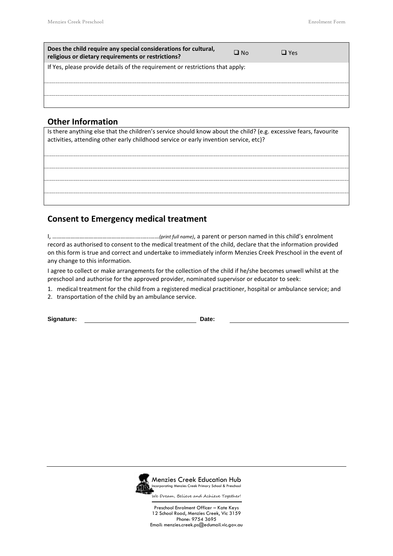| Does the child require any special considerations for cultural,<br>religious or dietary requirements or restrictions? | $\Box$ No | $\Box$ Yes |
|-----------------------------------------------------------------------------------------------------------------------|-----------|------------|
| If Yes, please provide details of the requirement or restrictions that apply:                                         |           |            |
|                                                                                                                       |           |            |
|                                                                                                                       |           |            |
|                                                                                                                       |           |            |
|                                                                                                                       |           |            |
|                                                                                                                       |           |            |

### **Other Information**

Is there anything else that the children's service should know about the child? (e.g. excessive fears, favourite activities, attending other early childhood service or early invention service, etc)?

# **Consent to Emergency medical treatment**

I, ……………………………………………….….…..……*(print full name)*, a parent or person named in this child's enrolment record as authorised to consent to the medical treatment of the child, declare that the information provided on this form is true and correct and undertake to immediately inform Menzies Creek Preschool in the event of any change to this information.

I agree to collect or make arrangements for the collection of the child if he/she becomes unwell whilst at the preschool and authorise for the approved provider, nominated supervisor or educator to seek:

- 1. medical treatment for the child from a registered medical practitioner, hospital or ambulance service; and
- 2. transportation of the child by an ambulance service.

**Signature: Date:**



Menzies Creek Education Hub Incorporating Menzies Creek Primary School & Preschool

We Dream, Believe and Achieve Together!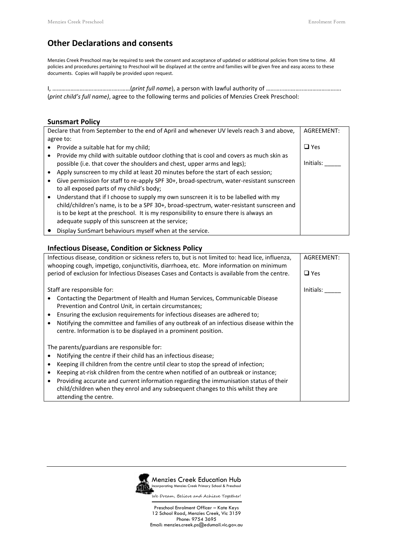# **Other Declarations and consents**

Menzies Creek Preschool may be required to seek the consent and acceptance of updated or additional policies from time to time. All policies and procedures pertaining to Preschool will be displayed at the centre and families will be given free and easy access to these documents. Copies will happily be provided upon request.

I, ………………………………….…..……(*print full name*), a person with lawful authority of ………..…..……..……………………. (*print child's full name)*, agree to the following terms and policies of Menzies Creek Preschool:

### **Sunsmart Policy**

| Declare that from September to the end of April and whenever UV levels reach 3 and above, | AGREEMENT:                                                                                                                                                                                                                                                                                                                   |            |
|-------------------------------------------------------------------------------------------|------------------------------------------------------------------------------------------------------------------------------------------------------------------------------------------------------------------------------------------------------------------------------------------------------------------------------|------------|
|                                                                                           | agree to:                                                                                                                                                                                                                                                                                                                    |            |
|                                                                                           | Provide a suitable hat for my child;                                                                                                                                                                                                                                                                                         | $\Box$ Yes |
|                                                                                           | Provide my child with suitable outdoor clothing that is cool and covers as much skin as<br>possible (i.e. that cover the shoulders and chest, upper arms and legs);                                                                                                                                                          | Initials:  |
|                                                                                           | Apply sunscreen to my child at least 20 minutes before the start of each session;                                                                                                                                                                                                                                            |            |
|                                                                                           | Give permission for staff to re-apply SPF 30+, broad-spectrum, water-resistant sunscreen<br>to all exposed parts of my child's body;                                                                                                                                                                                         |            |
|                                                                                           | Understand that if I choose to supply my own sunscreen it is to be labelled with my<br>child/children's name, is to be a SPF 30+, broad-spectrum, water-resistant sunscreen and<br>is to be kept at the preschool. It is my responsibility to ensure there is always an<br>adequate supply of this sunscreen at the service; |            |
|                                                                                           | Display SunSmart behaviours myself when at the service.                                                                                                                                                                                                                                                                      |            |

### **Infectious Disease, Condition or Sickness Policy**

| Infectious disease, condition or sickness refers to, but is not limited to: head lice, influenza,<br>whooping cough, impetigo, conjunctivitis, diarrhoea, etc. More information on minimum | AGREEMENT: |
|--------------------------------------------------------------------------------------------------------------------------------------------------------------------------------------------|------------|
| period of exclusion for Infectious Diseases Cases and Contacts is available from the centre.                                                                                               | $\Box$ Yes |
| Staff are responsible for:                                                                                                                                                                 | Initials:  |
| Contacting the Department of Health and Human Services, Communicable Disease<br>Prevention and Control Unit, in certain circumstances;                                                     |            |
| Ensuring the exclusion requirements for infectious diseases are adhered to;                                                                                                                |            |
| Notifying the committee and families of any outbreak of an infectious disease within the                                                                                                   |            |
| centre. Information is to be displayed in a prominent position.                                                                                                                            |            |
| The parents/guardians are responsible for:                                                                                                                                                 |            |
| Notifying the centre if their child has an infectious disease;                                                                                                                             |            |
| Keeping ill children from the centre until clear to stop the spread of infection;                                                                                                          |            |
| Keeping at-risk children from the centre when notified of an outbreak or instance;<br>$\bullet$                                                                                            |            |
| Providing accurate and current information regarding the immunisation status of their<br>$\bullet$                                                                                         |            |
| child/children when they enrol and any subsequent changes to this whilst they are                                                                                                          |            |
| attending the centre.                                                                                                                                                                      |            |

Menzies Creek Education Hub ncorporating Menzies Creek Primary School & Preschool We Dream, Believe and Achieve Together!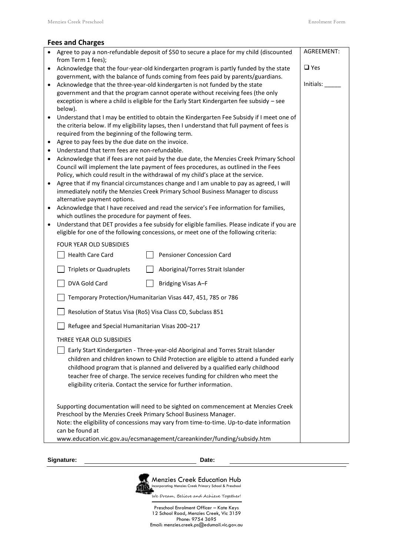| <b>Fees and Charges</b> |  |  |  |
|-------------------------|--|--|--|
|-------------------------|--|--|--|

|                                                                                                      | • Agree to pay a non-refundable deposit of \$50 to secure a place for my child (discounted<br>from Term 1 fees); | AGREEMENT: |  |  |
|------------------------------------------------------------------------------------------------------|------------------------------------------------------------------------------------------------------------------|------------|--|--|
|                                                                                                      | Acknowledge that the four-year-old kindergarten program is partly funded by the state                            |            |  |  |
|                                                                                                      | $\Box$ Yes<br>government, with the balance of funds coming from fees paid by parents/guardians.                  |            |  |  |
|                                                                                                      |                                                                                                                  | Initials:  |  |  |
| $\bullet$                                                                                            | Acknowledge that the three-year-old kindergarten is not funded by the state                                      |            |  |  |
|                                                                                                      | government and that the program cannot operate without receiving fees (the only                                  |            |  |  |
|                                                                                                      | exception is where a child is eligible for the Early Start Kindergarten fee subsidy - see                        |            |  |  |
|                                                                                                      | below).                                                                                                          |            |  |  |
| $\bullet$                                                                                            | Understand that I may be entitled to obtain the Kindergarten Fee Subsidy if I meet one of                        |            |  |  |
|                                                                                                      | the criteria below. If my eligibility lapses, then I understand that full payment of fees is                     |            |  |  |
|                                                                                                      | required from the beginning of the following term.                                                               |            |  |  |
| $\bullet$                                                                                            | Agree to pay fees by the due date on the invoice.                                                                |            |  |  |
| ٠                                                                                                    | Understand that term fees are non-refundable.                                                                    |            |  |  |
| Acknowledge that if fees are not paid by the due date, the Menzies Creek Primary School<br>$\bullet$ |                                                                                                                  |            |  |  |
|                                                                                                      |                                                                                                                  |            |  |  |
|                                                                                                      | Council will implement the late payment of fees procedures, as outlined in the Fees                              |            |  |  |
|                                                                                                      | Policy, which could result in the withdrawal of my child's place at the service.                                 |            |  |  |
|                                                                                                      | Agree that if my financial circumstances change and I am unable to pay as agreed, I will                         |            |  |  |
|                                                                                                      | immediately notify the Menzies Creek Primary School Business Manager to discuss                                  |            |  |  |
|                                                                                                      | alternative payment options.                                                                                     |            |  |  |
| ٠                                                                                                    | Acknowledge that I have received and read the service's Fee information for families,                            |            |  |  |
|                                                                                                      | which outlines the procedure for payment of fees.                                                                |            |  |  |
| $\bullet$                                                                                            | Understand that DET provides a fee subsidy for eligible families. Please indicate if you are                     |            |  |  |
|                                                                                                      | eligible for one of the following concessions, or meet one of the following criteria:                            |            |  |  |
|                                                                                                      | FOUR YEAR OLD SUBSIDIES                                                                                          |            |  |  |
|                                                                                                      |                                                                                                                  |            |  |  |
|                                                                                                      | Health Care Card<br>Pensioner Concession Card                                                                    |            |  |  |
|                                                                                                      | <b>Triplets or Quadruplets</b><br>Aboriginal/Torres Strait Islander                                              |            |  |  |
|                                                                                                      | DVA Gold Card<br><b>Bridging Visas A-F</b>                                                                       |            |  |  |
|                                                                                                      | Temporary Protection/Humanitarian Visas 447, 451, 785 or 786                                                     |            |  |  |
|                                                                                                      | Resolution of Status Visa (RoS) Visa Class CD, Subclass 851                                                      |            |  |  |
|                                                                                                      |                                                                                                                  |            |  |  |
| Refugee and Special Humanitarian Visas 200-217                                                       |                                                                                                                  |            |  |  |
|                                                                                                      | THREE YEAR OLD SUBSIDIES                                                                                         |            |  |  |
|                                                                                                      | Early Start Kindergarten - Three-year-old Aboriginal and Torres Strait Islander                                  |            |  |  |
|                                                                                                      | children and children known to Child Protection are eligible to attend a funded early                            |            |  |  |
|                                                                                                      | childhood program that is planned and delivered by a qualified early childhood                                   |            |  |  |
|                                                                                                      | teacher free of charge. The service receives funding for children who meet the                                   |            |  |  |
|                                                                                                      | eligibility criteria. Contact the service for further information.                                               |            |  |  |
|                                                                                                      |                                                                                                                  |            |  |  |
|                                                                                                      |                                                                                                                  |            |  |  |
|                                                                                                      | Supporting documentation will need to be sighted on commencement at Menzies Creek                                |            |  |  |
|                                                                                                      | Preschool by the Menzies Creek Primary School Business Manager.                                                  |            |  |  |
|                                                                                                      | Note: the eligibility of concessions may vary from time-to-time. Up-to-date information                          |            |  |  |
|                                                                                                      | can be found at                                                                                                  |            |  |  |
|                                                                                                      | www.education.vic.gov.au/ecsmanagement/careankinder/funding/subsidy.htm                                          |            |  |  |
|                                                                                                      |                                                                                                                  |            |  |  |

**Signature: Date:**



We Dream, Believe and Achieve Together!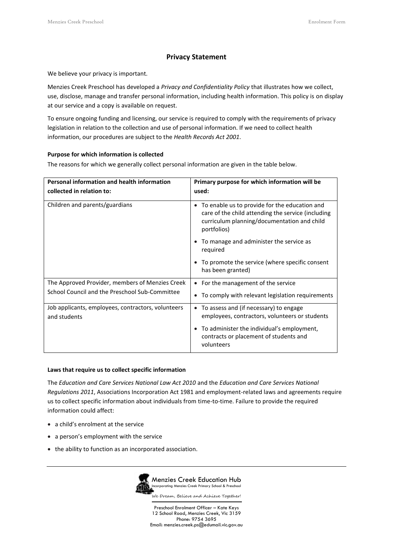### **Privacy Statement**

We believe your privacy is important.

Menzies Creek Preschool has developed a *Privacy and Confidentiality Policy* that illustrates how we collect, use, disclose, manage and transfer personal information, including health information. This policy is on display at our service and a copy is available on request.

To ensure ongoing funding and licensing, our service is required to comply with the requirements of privacy legislation in relation to the collection and use of personal information. If we need to collect health information, our procedures are subject to the *Health Records Act 2001*.

#### **Purpose for which information is collected**

The reasons for which we generally collect personal information are given in the table below.

| <b>Personal information and health information</b>                 | Primary purpose for which information will be                                                                                                                                  |  |
|--------------------------------------------------------------------|--------------------------------------------------------------------------------------------------------------------------------------------------------------------------------|--|
| collected in relation to:                                          | used:                                                                                                                                                                          |  |
| Children and parents/guardians                                     | To enable us to provide for the education and<br>$\bullet$<br>care of the child attending the service (including<br>curriculum planning/documentation and child<br>portfolios) |  |
|                                                                    | To manage and administer the service as<br>required                                                                                                                            |  |
|                                                                    | To promote the service (where specific consent<br>has been granted)                                                                                                            |  |
| The Approved Provider, members of Menzies Creek                    | • For the management of the service                                                                                                                                            |  |
| School Council and the Preschool Sub-Committee                     | • To comply with relevant legislation requirements                                                                                                                             |  |
| Job applicants, employees, contractors, volunteers<br>and students | To assess and (if necessary) to engage<br>$\bullet$<br>employees, contractors, volunteers or students                                                                          |  |
|                                                                    | To administer the individual's employment,<br>contracts or placement of students and<br>volunteers                                                                             |  |

#### **Laws that require us to collect specific information**

The *Education and Care Services National Law Act 2010* and the *Education and Care Services National Regulations 2011*, Associations Incorporation Act 1981 and employment-related laws and agreements require us to collect specific information about individuals from time-to-time. Failure to provide the required information could affect:

- a child's enrolment at the service
- a person's employment with the service
- the ability to function as an incorporated association.

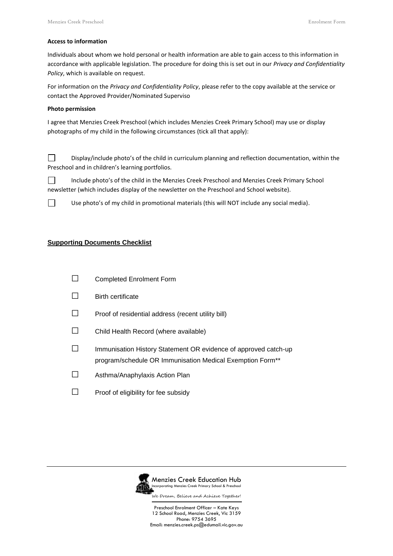#### **Access to information**

Individuals about whom we hold personal or health information are able to gain access to this information in accordance with applicable legislation. The procedure for doing this is set out in our *Privacy and Confidentiality Policy*, which is available on request.

For information on the *Privacy and Confidentiality Policy*, please refer to the copy available at the service or contact the Approved Provider/Nominated Superviso

#### **Photo permission**

I agree that Menzies Creek Preschool (which includes Menzies Creek Primary School) may use or display photographs of my child in the following circumstances (tick all that apply):

 $\Box$ Display/include photo's of the child in curriculum planning and reflection documentation, within the Preschool and in children's learning portfolios.

 $\Box$ Include photo's of the child in the Menzies Creek Preschool and Menzies Creek Primary School newsletter (which includes display of the newsletter on the Preschool and School website).



Use photo's of my child in promotional materials (this will NOT include any social media).

### **Supporting Documents Checklist**

- □ Completed Enrolment Form
- □ Birth certificate
- $\Box$  Proof of residential address (recent utility bill)
- □ Child Health Record (where available)
- □ Immunisation History Statement OR evidence of approved catch-up program/schedule OR Immunisation Medical Exemption Form\*\*
- □ Asthma/Anaphylaxis Action Plan
- $\Box$  Proof of eligibility for fee subsidy



Menzies Creek Education Hub ncorporating Menzies Creek Primary School & Preschoo

We Dream, Believe and Achieve Together!